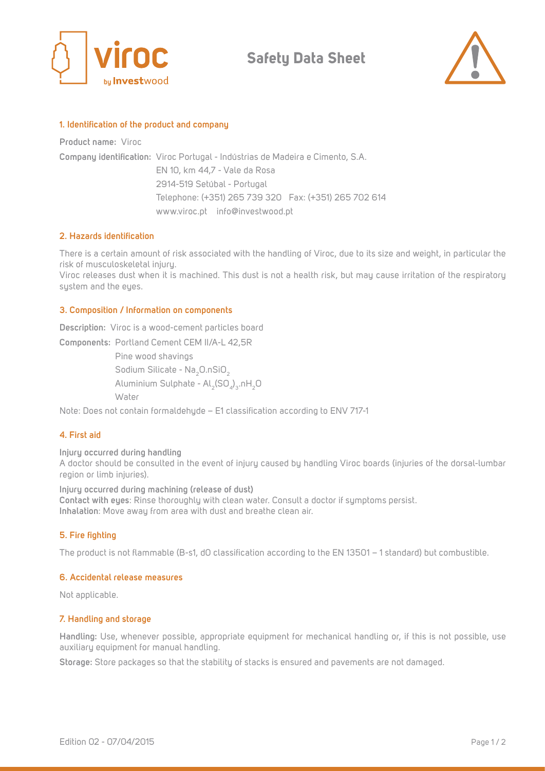

**Safety Data Sheet**



#### **1. Identification of the product and company**

**Product name:** Viroc

**Company identification:**  Viroc Portugal - Indústrias de Madeira e Cimento, S.A. EN 10, km 44,7 - Vale da Rosa 2914-519 Setúbal - Portugal Telephone: (+351) 265 739 320 Fax: (+351) 265 702 614 www.viroc.pt info@investwood.pt

## **2. Hazards identification**

There is a certain amount of risk associated with the handling of Viroc, due to its size and weight, in particular the risk of musculoskeletal injury.

Viroc releases dust when it is machined. This dust is not a health risk, but may cause irritation of the respiratory system and the eyes.

#### **3. Composition / Information on components**

**Description:** Viroc is a wood-cement particles board

**Components:**  Portland Cement CEM II/A-L 42,5R Pine wood shavings Sodium Silicate - Na<sub>2</sub>O.nSiO<sub>2</sub> Aluminium Sulphate - Al $_2$ (SO $_4)_3$ .nH $_2$ O **Water** 

Note: Does not contain formaldehyde – E1 classification according to ENV 717-1

## **4. First aid**

**Injury occurred during handling**  A doctor should be consulted in the event of injury caused by handling Viroc boards (injuries of the dorsal-lumbar region or limb injuries).

**Injury occurred during machining (release of dust) Contact with eyes**: Rinse thoroughly with clean water. Consult a doctor if symptoms persist. **Inhalation**: Move away from area with dust and breathe clean air.

## **5. Fire fighting**

The product is not flammable (B-s1, d0 classification according to the EN 13501 – 1 standard) but combustible.

## **6. Accidental release measures**

Not applicable.

## **7. Handling and storage**

**Handling:** Use, whenever possible, appropriate equipment for mechanical handling or, if this is not possible, use auxiliary equipment for manual handling.

**Storage:** Store packages so that the stability of stacks is ensured and pavements are not damaged.